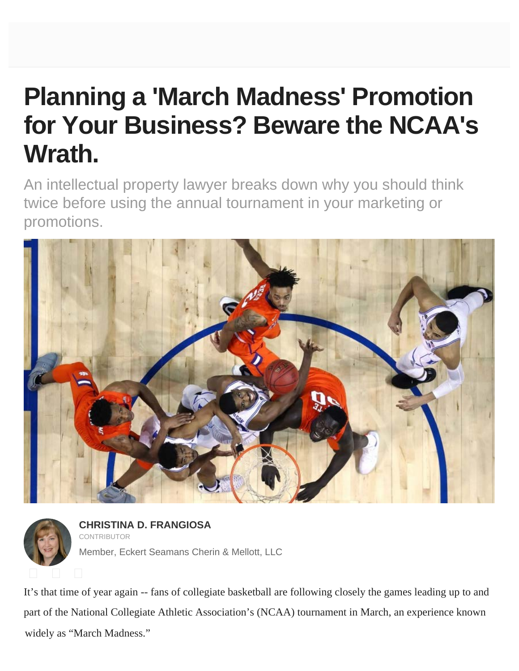## **Planning a 'March Madness' Promotion for Your Business? Beware the NCAA's Wrath.**

An intellectual property lawyer breaks down why you should think twice before using the annual tournament in your marketing or promotions.





It's that time of year again -- fans of collegiate basketball are following closely the games leading up to and part of the National Collegiate Athletic Association's (NCAA) tournament in March, an experience known widely as "March Madness."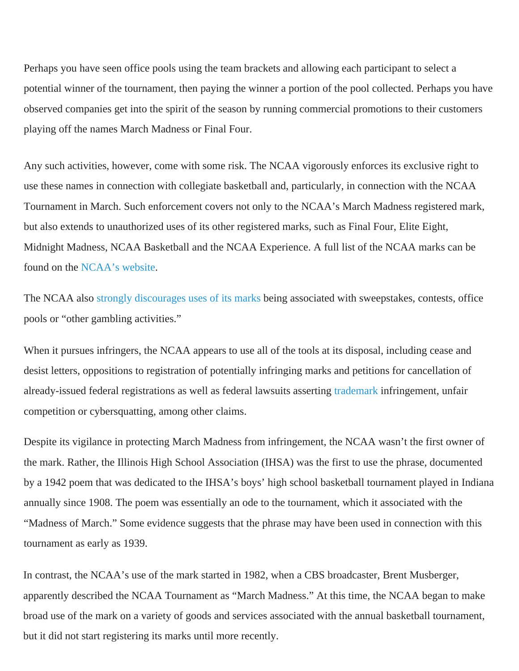Perhaps you have seen office pools using the team brackets and allowing each participant to select a potential winner of the tournament, then paying the winner a portion of the pool collected. Perhaps you have observed companies get into the spirit of the season by running commercial promotions to their customers playing off the names March Madness or Final Four.

Any such [activities, however, come with some risk. The NCAA vi](https://www.entrepreneur.com/article/226595)gorously enforces its exclusive right to use these names in connection with collegiate basketball and, particularly, in connection with the NCAA Tournament in March. Such enforcement covers not only to the NCAA's March Madness registered mark, but also extends to unauthorized uses of its other registered marks, such as Final Four, Elite Eight, Midnight Madness, NCAA Basketball and the NCAA Experience. A full list of the NCAA marks can be found on the NCAA's website.

The NCAA a[lso strongly disco](http://www.ncaa.org/championships/marketing/ncaa-trademarks)urages uses of its marks being associated with sweepstakes, contests, office pools or "other [gambling activities."](http://www.ncaa.org/sites/default/files/2016_17_Use_of_NCAA_Championship_Brackets_and_Limits_on_Advertising.pdf)

When it pursues infringers, the NCAA appears to use all of the tools at its disposal, including cease and desist letters, oppositions to registration of potentially infringing marks and petitions for cancellation of already-issued federal registrations as well as federal lawsuits asserting trademark infringement, unfair competition or cybersquatting, among other claims.

Despite its vigilance in protecting March Madness from infringement, the NCAA wasn't the first owner of the mark. [Rather, the Illinois High School Association \(IHSA\) was the first to use the](https://www.entrepreneur.com/article/288477) phrase, documented by a 1942 poem that was dedicated to the IHSA's boys' high school basketball tournament played in Indiana annually since 1908. The poem was essentially an ode to the tournament, which it associated with the "Madness of March." Some evidence suggests that the phrase may have been used in connection with this tournament as early as 1939.

In contrast, the NCAA's use of the mark started in 1982, when a CBS broadcaster, Brent Musberger, apparently described the NCAA Tournament as "March Madness." At this time, the NCAA began to make broad use of the mark on a variety of goods and services associated with the annual basketball tournament, but it did not start registering its marks until more recently.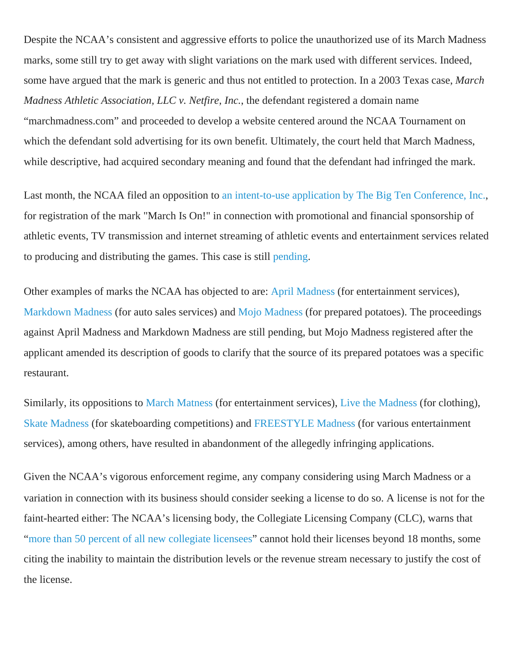Despite the NCAA's consistent and aggressive efforts to police the unauthorized use of its March Madness marks, some still try to get away with slight variations on the mark used with different services. Indeed, some have argued that the mark is generic and thus not entitled to protection. In a 2003 Texas case, *March Madness Athletic Association, LLC v. Netfire, Inc.*, the defendant registered a domain name "marchmadness.com" and proceeded to develop a website centered around the NCAA Tournament on which the defendant sold advertising for its own benefit. Ultimately, the court held that March Madness, while descriptive, had acquired secondary meaning and found that the defendant had infringed the mark.

Last month, the NCAA filed an opposition to an intent-to-use application by The Big Ten Conference, Inc., for registration of the mark "March Is On!" in connection with promotional and financial sponsorship of athletic events, TV transmission and internet streaming of athletic events and entertainment services related to producing and distributing the games. This case is still pending.

Other examples of marks the NCAA has objected to are: April Madness (for entertainment services), Markdown Madness (for auto sales services) [and Mojo Madness \(for prepared potatoes\). The proceedings](http://tsdr.uspto.gov/#caseNumber=86923582&caseSearchType=US_APPLICATION&caseType=DEFAULT&searchType=statusSearch) against April Madness and Markdown Madness are still pending, but Mojo Madness registered after the applicant amended its description of goods to clarify that the source of its prepared potatoes was a specific restaurant.

Similarly, its oppositions to March Matness (for entertai[nment services\)](http://tsdr.uspto.gov/#caseNumber=85/900,268&caseSearchType=US_APPLICATION&caseType=DEFAULT&searchType=statusSearch), Live the Madness (for clothing), [Skate Madness \(for s](http://tsdr.uspto.gov/#caseNumber=86269961&caseSearchType=US_APPLICATION&caseType=DEFAULT&searchType=statusSearch)kateboarding competitions) [and FREESTYL](http://tsdr.uspto.gov/#caseNumber=85266473&caseSearchType=US_APPLICATION&caseType=DEFAULT&searchType=statusSearch)E Madness (for various entertainment services), among others, have resulted in abandonment of the allegedly infringing applications.

Given the NCAA's vigorous enforcement regime, any company considering using March Madness or a variation in connection with its business should consider seeking a license to do so. A license is not for the faint-hearted either: The N[CAA's licensing](http://tsdr.uspto.gov/#caseNumber=86/943,888&caseSearchType=US_APPLICATION&caseType=DEFAULT&searchType=statusSearch) body, the Collegiate Licensi[ng Company \(CLC](http://tsdr.uspto.gov/#caseNumber=76/712,967&caseSearchType=US_APPLICATION&caseType=DEFAULT&searchType=statusSearch)), warns that ["more than 50 p](http://tsdr.uspto.gov/#caseNumber=85/231669&caseSearchType=US_APPLICATION&caseType=DEFAULT&searchType=statusSearch)ercent of all new collegiate licensees[" cannot hold their licen](http://tsdr.uspto.gov/#caseNumber=78/872,982+&caseSearchType=US_APPLICATION&caseType=DEFAULT&searchType=statusSearch)ses beyond 18 months, some citing the inability to maintain the distribution levels or the revenue stream necessary to justify the cost of the licens[e.](https://www.entrepreneur.com/article/246669)